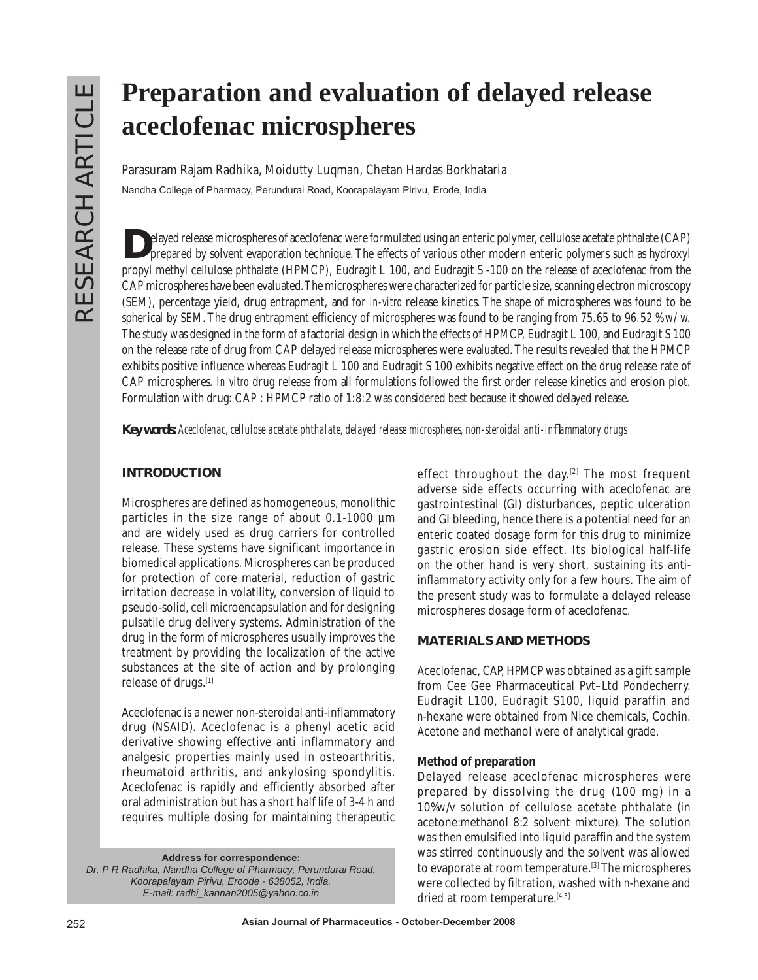# **Preparation and evaluation of delayed release aceclofenac microspheres**

**Parasuram Rajam Radhika, Moidutty Luqman, Chetan Hardas Borkhataria** Nandha College of Pharmacy, Perundurai Road, Koorapalayam Pirivu, Erode, India

**D**elayed release microspheres of aceclofenac were formulated using an enteric polymer, cellulose acetate phthalate (CAP) prepared by solvent evaporation technique. The effects of various other modern enteric polymers such as hydroxyl propyl methyl cellulose phthalate (HPMCP), Eudragit L 100, and Eudragit S -100 on the release of aceclofenac from the CAP microspheres have been evaluated. The microspheres were characterized for particle size, scanning electron microscopy (SEM), percentage yield, drug entrapment, and for *in-vitro* release kinetics. The shape of microspheres was found to be spherical by SEM. The drug entrapment efficiency of microspheres was found to be ranging from 75.65 to 96.52 %w/w. The study was designed in the form of a factorial design in which the effects of HPMCP, Eudragit L 100, and Eudragit S 100 on the release rate of drug from CAP delayed release microspheres were evaluated. The results revealed that the HPMCP exhibits positive influence whereas Eudragit L 100 and Eudragit S 100 exhibits negative effect on the drug release rate of CAP microspheres. *In vitro* drug release from all formulations followed the first order release kinetics and erosion plot. Formulation with drug: CAP : HPMCP ratio of 1:8:2 was considered best because it showed delayed release.

*Key words: Aceclofenac, cellulose acetate phthalate, delayed release microspheres, non-steroidal anti-inflammatory drugs* 

## **INTRODUCTION**

Microspheres are defined as homogeneous, monolithic particles in the size range of about 0.1-1000 *µ*m and are widely used as drug carriers for controlled release. These systems have significant importance in biomedical applications. Microspheres can be produced for protection of core material, reduction of gastric irritation decrease in volatility, conversion of liquid to pseudo-solid, cell microencapsulation and for designing pulsatile drug delivery systems. Administration of the drug in the form of microspheres usually improves the treatment by providing the localization of the active substances at the site of action and by prolonging release of drugs.[1]

Aceclofenac is a newer non-steroidal anti-inflammatory drug (NSAID). Aceclofenac is a phenyl acetic acid derivative showing effective anti inflammatory and analgesic properties mainly used in osteoarthritis, rheumatoid arthritis, and ankylosing spondylitis. Aceclofenac is rapidly and efficiently absorbed after oral administration but has a short half life of 3-4 h and requires multiple dosing for maintaining therapeutic

**Address for correspondence:** 

*Dr. P R Radhika, Nandha College of Pharmacy, Perundurai Road, Koorapalayam Pirivu, Eroode - 638052, India. E-mail: radhi\_kannan2005@yahoo.co.in* 

effect throughout the day.<sup>[2]</sup> The most frequent adverse side effects occurring with aceclofenac are gastrointestinal (GI) disturbances, peptic ulceration and GI bleeding, hence there is a potential need for an enteric coated dosage form for this drug to minimize gastric erosion side effect. Its biological half-life on the other hand is very short, sustaining its antiinflammatory activity only for a few hours. The aim of the present study was to formulate a delayed release microspheres dosage form of aceclofenac.

## **MATERIALS AND METHODS**

Aceclofenac, CAP, HPMCP was obtained as a gift sample from Cee Gee Pharmaceutical Pvt–Ltd Pondecherry. Eudragit L100, Eudragit S100, liquid paraffin and *n*-hexane were obtained from Nice chemicals, Cochin. Acetone and methanol were of analytical grade.

### **Method of preparation**

Delayed release aceclofenac microspheres were prepared by dissolving the drug (100 mg) in a 10%w/v solution of cellulose acetate phthalate (in acetone:methanol 8:2 solvent mixture). The solution was then emulsified into liquid paraffin and the system was stirred continuously and the solvent was allowed to evaporate at room temperature.<sup>[3]</sup> The microspheres were collected by filtration, washed with *n*-hexane and dried at room temperature.<sup>[4,5]</sup>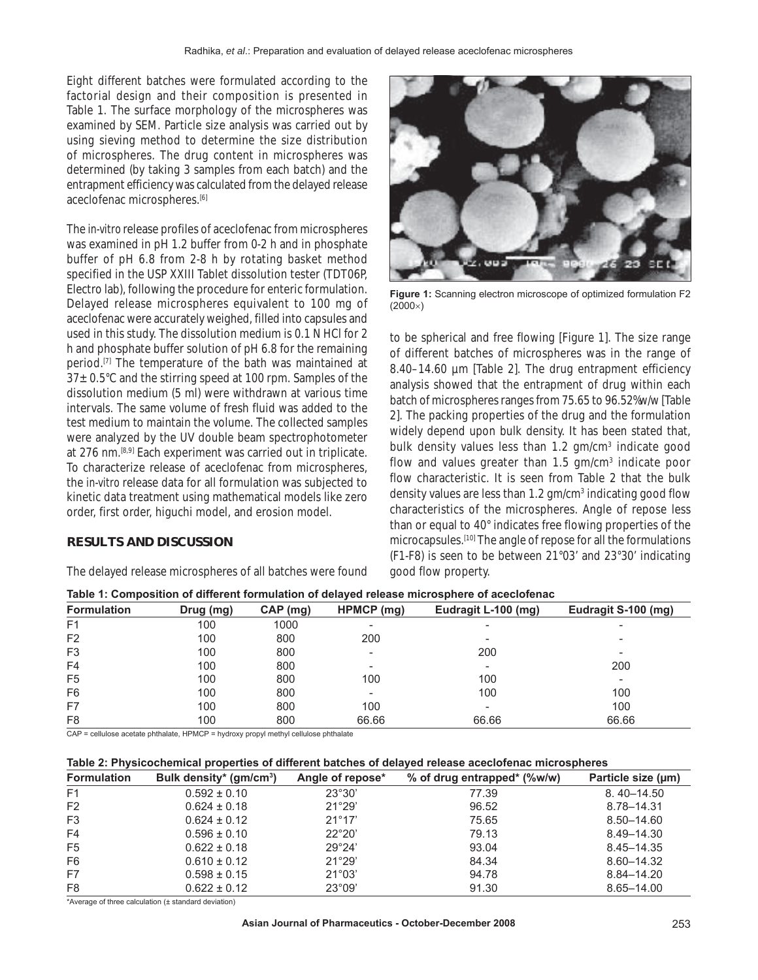Eight different batches were formulated according to the factorial design and their composition is presented in Table 1. The surface morphology of the microspheres was examined by SEM. Particle size analysis was carried out by using sieving method to determine the size distribution of microspheres. The drug content in microspheres was determined (by taking 3 samples from each batch) and the entrapment efficiency was calculated from the delayed release aceclofenac microspheres.<sup>[6]</sup>

The *in-vitro* release profiles of aceclofenac from microspheres was examined in pH 1.2 buffer from 0-2 h and in phosphate buffer of pH 6.8 from 2-8 h by rotating basket method specified in the USP XXIII Tablet dissolution tester (TDT06P, Electro lab), following the procedure for enteric formulation. Delayed release microspheres equivalent to 100 mg of aceclofenac were accurately weighed, filled into capsules and used in this study. The dissolution medium is 0.1 N HCl for 2 h and phosphate buffer solution of pH 6.8 for the remaining period.[7] The temperature of the bath was maintained at  $37 \pm 0.5^{\circ}$ C and the stirring speed at 100 rpm. Samples of the dissolution medium (5 ml) were withdrawn at various time intervals. The same volume of fresh fluid was added to the test medium to maintain the volume. The collected samples were analyzed by the UV double beam spectrophotometer at 276 nm.<sup>[8,9]</sup> Each experiment was carried out in triplicate. To characterize release of aceclofenac from microspheres, the *in-vitro* release data for all formulation was subjected to kinetic data treatment using mathematical models like zero order, first order, higuchi model, and erosion model.

#### **RESULTS AND DISCUSSION**

The delayed release microspheres of all batches were found



**Figure 1:** Scanning electron microscope of optimized formulation F2  $(2000\times)$ 

to be spherical and free flowing [Figure 1]. The size range of different batches of microspheres was in the range of 8.40–14.60 µm [Table 2]. The drug entrapment efficiency analysis showed that the entrapment of drug within each batch of microspheres ranges from 75.65 to 96.52%w/w [Table 2]. The packing properties of the drug and the formulation widely depend upon bulk density. It has been stated that, bulk density values less than 1.2 gm/cm<sup>3</sup> indicate good flow and values greater than 1.5 gm/cm<sup>3</sup> indicate poor flow characteristic. It is seen from Table 2 that the bulk density values are less than 1.2 gm/cm<sup>3</sup> indicating good flow characteristics of the microspheres. Angle of repose less than or equal to 40° indicates free flowing properties of the microcapsules.[10] The angle of repose for all the formulations (F1-F8) is seen to be between 21°03' and 23°30' indicating good flow property.

| Table 1: Composition of different formulation of delayed release microsphere of aceclofenac |           |            |                          |                          |                          |  |  |
|---------------------------------------------------------------------------------------------|-----------|------------|--------------------------|--------------------------|--------------------------|--|--|
| <b>Formulation</b>                                                                          | Drug (mg) | $CAP$ (mg) | HPMCP (mg)               | Eudragit L-100 (mg)      | Eudragit S-100 (mg)      |  |  |
| F <sub>1</sub>                                                                              | 100       | 1000       | $\overline{\phantom{a}}$ | $\overline{\phantom{0}}$ | $\overline{\phantom{0}}$ |  |  |
| F <sub>2</sub>                                                                              | 100       | 800        | 200                      | -                        | -                        |  |  |
| F <sub>3</sub>                                                                              | 100       | 800        | ٠                        | 200                      |                          |  |  |
| F4                                                                                          | 100       | 800        | $\overline{\phantom{a}}$ | $\overline{\phantom{a}}$ | 200                      |  |  |
| F <sub>5</sub>                                                                              | 100       | 800        | 100                      | 100                      | -                        |  |  |
| F <sub>6</sub>                                                                              | 100       | 800        | $\overline{\phantom{a}}$ | 100                      | 100                      |  |  |
| F7                                                                                          | 100       | 800        | 100                      | $\overline{\phantom{0}}$ | 100                      |  |  |
| F <sub>8</sub>                                                                              | 100       | 800        | 66.66                    | 66.66                    | 66.66                    |  |  |

CAP = cellulose acetate phthalate, HPMCP = hydroxy propyl methyl cellulose phthalate

#### **Table 2: Physicochemical properties of different batches of delayed release aceclofenac microspheres**

| <b>Formulation</b> | Bulk density* (gm/cm <sup>3</sup> ) | Angle of repose* | % of drug entrapped* (%w/w) | Particle size (µm) |
|--------------------|-------------------------------------|------------------|-----------------------------|--------------------|
| F <sub>1</sub>     | $0.592 \pm 0.10$                    | $23^{\circ}30'$  | 77.39                       | $8.40 - 14.50$     |
| F <sub>2</sub>     | $0.624 \pm 0.18$                    | 21°29'           | 96.52                       | 8.78–14.31         |
| F <sub>3</sub>     | $0.624 \pm 0.12$                    | $21^{\circ}17'$  | 75.65                       | 8.50-14.60         |
| F4                 | $0.596 \pm 0.10$                    | $22^{\circ}20'$  | 79.13                       | 8.49-14.30         |
| F <sub>5</sub>     | $0.622 \pm 0.18$                    | 29°24'           | 93.04                       | 8.45 - 14.35       |
| F <sub>6</sub>     | $0.610 \pm 0.12$                    | 21°29'           | 84.34                       | 8.60-14.32         |
| F7                 | $0.598 \pm 0.15$                    | $21^{\circ}03'$  | 94.78                       | 8.84-14.20         |
| F <sub>8</sub>     | $0.622 \pm 0.12$                    | $23^{\circ}09'$  | 91.30                       | 8.65-14.00         |

\*Average of three calculation (± standard deviation)